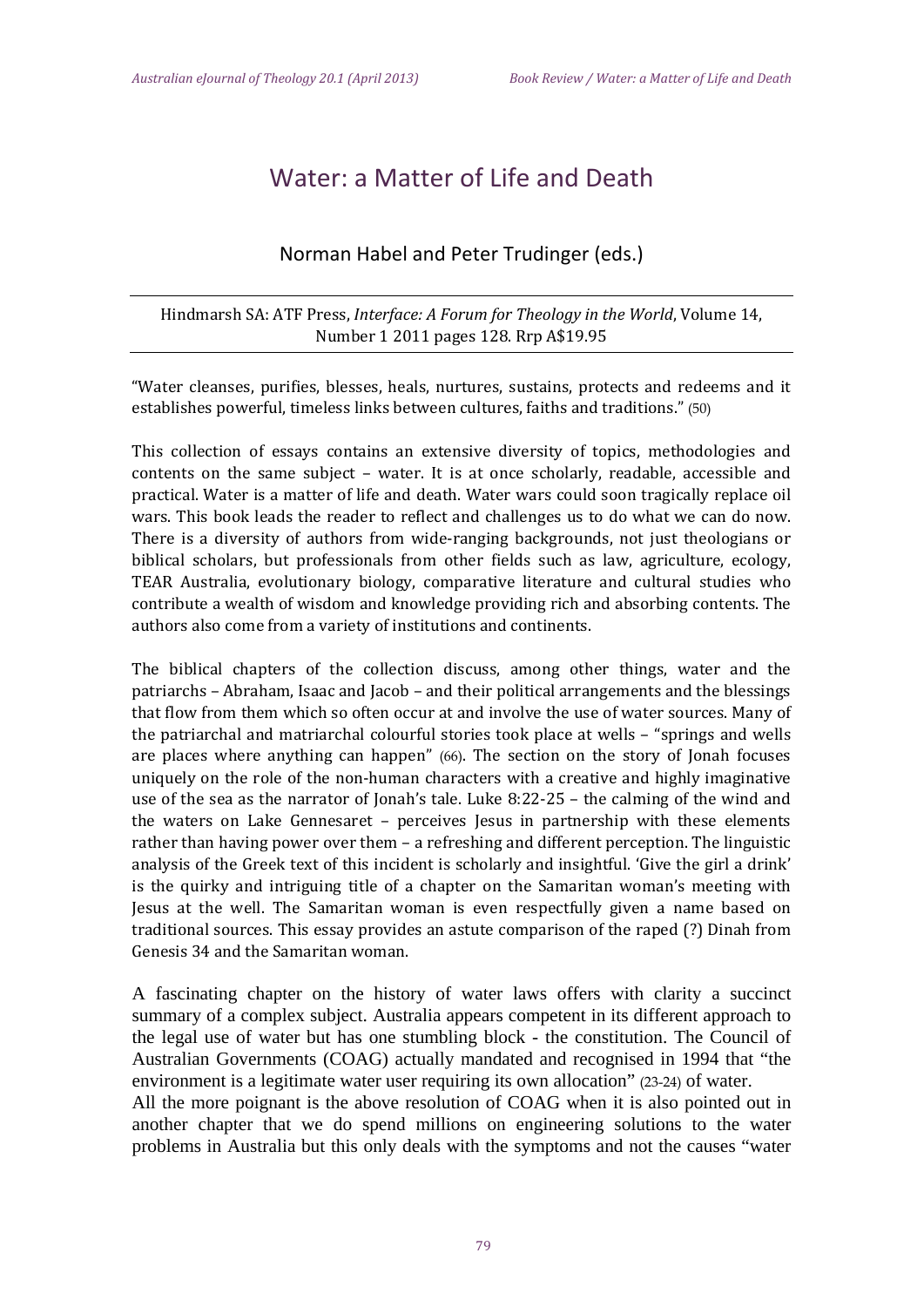## Water: a Matter of Life and Death

## Norman Habel and Peter Trudinger (eds.)

Hindmarsh SA: ATF Press, *Interface: A Forum for Theology in the World*, Volume 14, Number 1 2011 pages 128. Rrp A\$19.95

"Water cleanses, purifies, blesses, heals, nurtures, sustains, protects and redeems and it establishes powerful, timeless links between cultures, faiths and traditions." (50)

This collection of essays contains an extensive diversity of topics, methodologies and contents on the same subject – water. It is at once scholarly, readable, accessible and practical. Water is a matter of life and death. Water wars could soon tragically replace oil wars. This book leads the reader to reflect and challenges us to do what we can do now. There is a diversity of authors from wide-ranging backgrounds, not just theologians or biblical scholars, but professionals from other fields such as law, agriculture, ecology, TEAR Australia, evolutionary biology, comparative literature and cultural studies who contribute a wealth of wisdom and knowledge providing rich and absorbing contents. The authors also come from a variety of institutions and continents.

The biblical chapters of the collection discuss, among other things, water and the patriarchs – Abraham, Isaac and Jacob – and their political arrangements and the blessings that flow from them which so often occur at and involve the use of water sources. Many of the patriarchal and matriarchal colourful stories took place at wells  $-$  "springs and wells are places where anything can happen"  $(66)$ . The section on the story of Jonah focuses uniquely on the role of the non-human characters with a creative and highly imaginative use of the sea as the narrator of Jonah's tale. Luke  $8:22-25$  – the calming of the wind and the waters on Lake Gennesaret - perceives Jesus in partnership with these elements rather than having power over them  $-$  a refreshing and different perception. The linguistic analysis of the Greek text of this incident is scholarly and insightful. 'Give the girl a drink' is the quirky and intriguing title of a chapter on the Samaritan woman's meeting with Jesus at the well. The Samaritan woman is even respectfully given a name based on traditional sources. This essay provides an astute comparison of the raped (?) Dinah from Genesis 34 and the Samaritan woman.

A fascinating chapter on the history of water laws offers with clarity a succinct summary of a complex subject. Australia appears competent in its different approach to the legal use of water but has one stumbling block - the constitution. The Council of Australian Governments (COAG) actually mandated and recognised in 1994 that "the environment is a legitimate water user requiring its own allocation" (23-24) of water.

All the more poignant is the above resolution of COAG when it is also pointed out in another chapter that we do spend millions on engineering solutions to the water problems in Australia but this only deals with the symptoms and not the causes "water